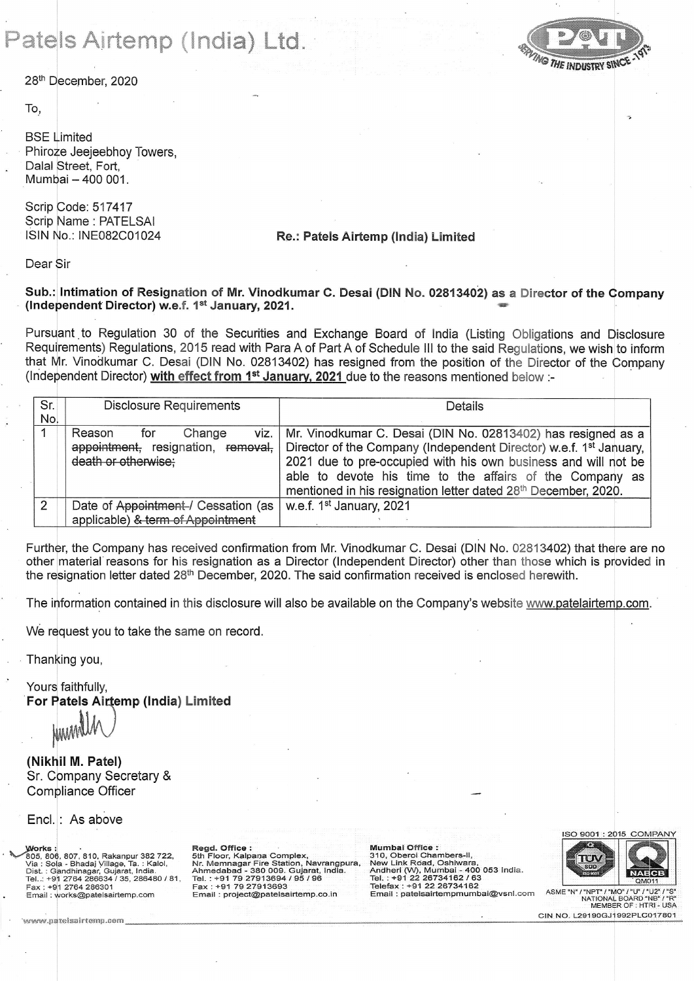## Patels Airtemp (India) Ltd.

28th December, 2020

To,

**BSE** Limited Phiroze Jeejeebhov Towers. Dalal Street, Fort, Mumbai - 400 001.

Scrip Code: 517417 Scrip Name: PATELSAI ISIN No.: INE082C01024

## Re.: Patels Airtemp (India) Limited

Dear Sir

## Sub.: Intimation of Resignation of Mr. Vinodkumar C. Desai (DIN No. 02813402) as a Director of the Company (Independent Director) w.e.f. 1st January, 2021.

Pursuant to Regulation 30 of the Securities and Exchange Board of India (Listing Obligations and Disclosure Requirements) Regulations, 2015 read with Para A of Part A of Schedule III to the said Regulations, we wish to inform that Mr. Vinodkumar C. Desai (DIN No. 02813402) has resigned from the position of the Director of the Company (Independent Director) with effect from 1<sup>st</sup> January, 2021 due to the reasons mentioned below :-

| Sr.<br>No. | <b>Disclosure Requirements</b>                                                               | Details                                                                                                                                                                                                                                                                                                                                        |  |
|------------|----------------------------------------------------------------------------------------------|------------------------------------------------------------------------------------------------------------------------------------------------------------------------------------------------------------------------------------------------------------------------------------------------------------------------------------------------|--|
|            | viz.<br>Change<br>Reason<br>tor<br>appointment, resignation, removal,<br>death or otherwise: | Mr. Vinodkumar C. Desai (DIN No. 02813402) has resigned as a<br>Director of the Company (Independent Director) w.e.f. 1 <sup>st</sup> January,<br>2021 due to pre-occupied with his own business and will not be<br>able to devote his time to the affairs of the Company as<br>mentioned in his resignation letter dated 28th December, 2020. |  |
| 2          | Date of Appointment-/ Cessation (as<br>applicable) & term of Appointment                     | w.e.f. 1 <sup>st</sup> January, 2021                                                                                                                                                                                                                                                                                                           |  |

Further, the Company has received confirmation from Mr. Vinodkumar C. Desai (DIN No. 02813402) that there are no other material reasons for his resignation as a Director (Independent Director) other than those which is provided in the resignation letter dated 28<sup>th</sup> December, 2020. The said confirmation received is enclosed herewith.

The information contained in this disclosure will also be available on the Company's website www.patelairtemp.com.

We request you to take the same on record.

Thanking you,

Yours faithfully, For Patels Airtemp (India) Limited

(Nikhil M. Patel) Sr. Company Secretary & Compliance Officer

Encl.: As above

www.natelsairtemn.com

**Works** WORS 306, 807, 810, Rakanpur 382 722,<br>805, 806, 807, 810, Rakanpur 382 722,<br>Via : Sola - Bhadaj Village, Ta. : Kalol,<br>Dist. : Gandhinagar, Gujarat, India.<br>Tel..: +91 2764 286634 / 35, 286480 / 81, +91 2764 286301 Fax Email: works@patelsairtemp.com

Regd. Office : Negu. Online<br>
Sth Floor, Kalpana Complex,<br>
Nr. Memnagar Fire Station, Navrangpura,<br>
Ahmedabad - 380 009. Gujarat, India.<br>
Tel. : +91 79 27913693<br>
Fax : +91 79 27913693 Email: project@patelsairtemp.co.in

Mumbai Office : Salo, Oberoi Chambers-II,<br>
New Link Road, Oshiwara,<br>
New Link Road, Oshiwara,<br>
Andheri (W), Mumbai - 400 053 India.<br>
Tel. : +91 22 26734162 / 63 Telefax : +91 22 26734162 Email: patelsairtempmumbai@vsnl.com





ASME "N" '/"NPT"/"MO"/"U"/"U2" יפי NATIONAL BOARD MEMBER OF : HTRL- USA CIN NO. L29190GJ1992PLC017801